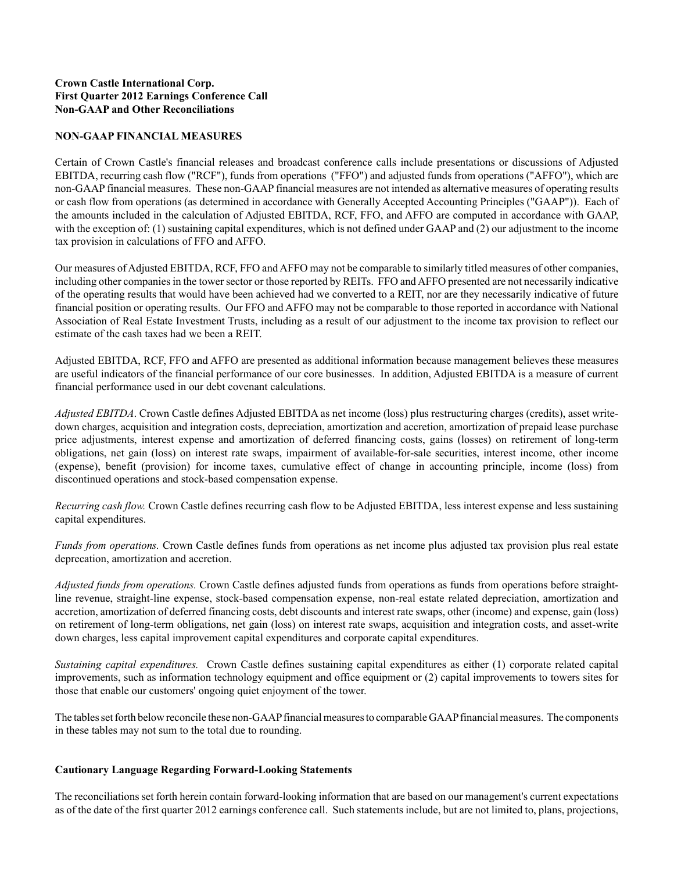# **Crown Castle International Corp. First Quarter 2012 Earnings Conference Call Non-GAAP and Other Reconciliations**

## **NON-GAAP FINANCIAL MEASURES**

Certain of Crown Castle's financial releases and broadcast conference calls include presentations or discussions of Adjusted EBITDA, recurring cash flow ("RCF"), funds from operations ("FFO") and adjusted funds from operations ("AFFO"), which are non-GAAPfinancial measures. These non-GAAPfinancial measures are not intended as alternative measures of operating results or cash flow from operations (as determined in accordance with Generally Accepted Accounting Principles ("GAAP")). Each of the amounts included in the calculation of Adjusted EBITDA, RCF, FFO, and AFFO are computed in accordance with GAAP, with the exception of: (1) sustaining capital expenditures, which is not defined under GAAP and (2) our adjustment to the income tax provision in calculations of FFO and AFFO.

Our measures of Adjusted EBITDA, RCF, FFO and AFFO may not be comparable to similarly titled measures of other companies, including other companies in the tower sector or those reported by REITs. FFO and AFFO presented are not necessarily indicative of the operating results that would have been achieved had we converted to a REIT, nor are they necessarily indicative of future financial position or operating results. Our FFO and AFFO may not be comparable to those reported in accordance with National Association of Real Estate Investment Trusts, including as a result of our adjustment to the income tax provision to reflect our estimate of the cash taxes had we been a REIT.

Adjusted EBITDA, RCF, FFO and AFFO are presented as additional information because management believes these measures are useful indicators of the financial performance of our core businesses. In addition, Adjusted EBITDA is a measure of current financial performance used in our debt covenant calculations.

*Adjusted EBITDA*. Crown Castle defines Adjusted EBITDA as net income (loss) plus restructuring charges (credits), asset writedown charges, acquisition and integration costs, depreciation, amortization and accretion, amortization of prepaid lease purchase price adjustments, interest expense and amortization of deferred financing costs, gains (losses) on retirement of long-term obligations, net gain (loss) on interest rate swaps, impairment of available-for-sale securities, interest income, other income (expense), benefit (provision) for income taxes, cumulative effect of change in accounting principle, income (loss) from discontinued operations and stock-based compensation expense.

*Recurring cash flow.* Crown Castle defines recurring cash flow to be Adjusted EBITDA, less interest expense and less sustaining capital expenditures.

*Funds from operations*. Crown Castle defines funds from operations as net income plus adjusted tax provision plus real estate deprecation, amortization and accretion.

*Adjusted funds from operations.* Crown Castle defines adjusted funds from operations as funds from operations before straightline revenue, straight-line expense, stock-based compensation expense, non-real estate related depreciation, amortization and accretion, amortization of deferred financing costs, debt discounts and interest rate swaps, other (income) and expense, gain (loss) on retirement of long-term obligations, net gain (loss) on interest rate swaps, acquisition and integration costs, and asset-write down charges, less capital improvement capital expenditures and corporate capital expenditures.

*Sustaining capital expenditures.* Crown Castle defines sustaining capital expenditures as either (1) corporate related capital improvements, such as information technology equipment and office equipment or (2) capital improvements to towers sites for those that enable our customers' ongoing quiet enjoyment of the tower.

The tables set forth below reconcile these non-GAAPfinancial measures to comparable GAAPfinancial measures. The components in these tables may not sum to the total due to rounding.

### **Cautionary Language Regarding Forward-Looking Statements**

The reconciliations set forth herein contain forward-looking information that are based on our management's current expectations as of the date of the first quarter 2012 earnings conference call. Such statements include, but are not limited to, plans, projections,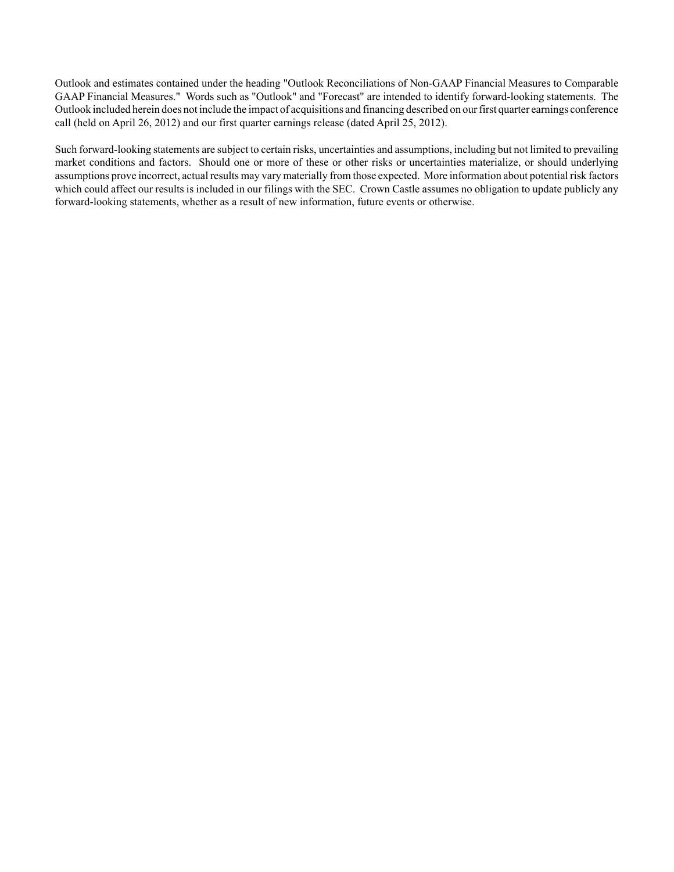Outlook and estimates contained under the heading "Outlook Reconciliations of Non-GAAP Financial Measures to Comparable GAAP Financial Measures." Words such as "Outlook" and "Forecast" are intended to identify forward-looking statements. The Outlook included herein does not include the impact of acquisitions and financing described on our first quarter earnings conference call (held on April 26, 2012) and our first quarter earnings release (dated April 25, 2012).

Such forward-looking statements are subject to certain risks, uncertainties and assumptions, including but not limited to prevailing market conditions and factors. Should one or more of these or other risks or uncertainties materialize, or should underlying assumptions prove incorrect, actual results may vary materially from those expected. More information about potential risk factors which could affect our results is included in our filings with the SEC. Crown Castle assumes no obligation to update publicly any forward-looking statements, whether as a result of new information, future events or otherwise.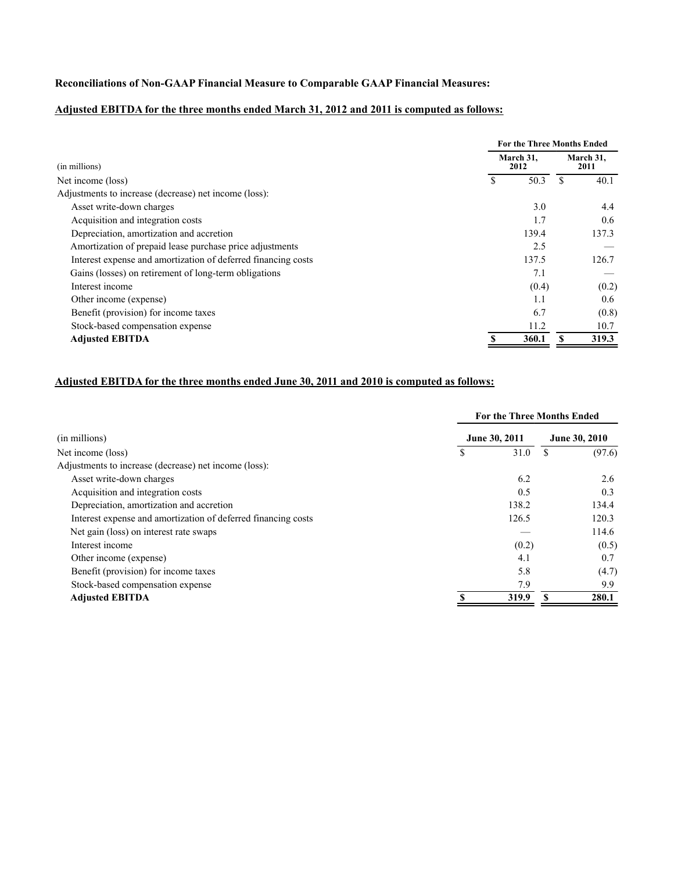# **Reconciliations of Non-GAAP Financial Measure to Comparable GAAP Financial Measures:**

# **Adjusted EBITDA for the three months ended March 31, 2012 and 2011 is computed as follows:**

|                                                               | <b>For the Three Months Ended</b> |       |  |                   |  |  |
|---------------------------------------------------------------|-----------------------------------|-------|--|-------------------|--|--|
| (in millions)                                                 | March 31.<br>2012                 |       |  | March 31.<br>2011 |  |  |
| Net income (loss)                                             |                                   | 50.3  |  | 40.1              |  |  |
| Adjustments to increase (decrease) net income (loss):         |                                   |       |  |                   |  |  |
| Asset write-down charges                                      |                                   | 3.0   |  | 4.4               |  |  |
| Acquisition and integration costs                             |                                   | 1.7   |  | 0.6               |  |  |
| Depreciation, amortization and accretion                      |                                   | 139.4 |  | 137.3             |  |  |
| Amortization of prepaid lease purchase price adjustments      |                                   | 2.5   |  |                   |  |  |
| Interest expense and amortization of deferred financing costs |                                   | 137.5 |  | 126.7             |  |  |
| Gains (losses) on retirement of long-term obligations         |                                   | 7.1   |  |                   |  |  |
| Interest income                                               |                                   | (0.4) |  | (0.2)             |  |  |
| Other income (expense)                                        |                                   | 1.1   |  | 0.6               |  |  |
| Benefit (provision) for income taxes                          |                                   | 6.7   |  | (0.8)             |  |  |
| Stock-based compensation expense                              |                                   | 11.2  |  | 10.7              |  |  |
| <b>Adjusted EBITDA</b>                                        |                                   | 360.1 |  | 319.3             |  |  |

# **Adjusted EBITDA for the three months ended June 30, 2011 and 2010 is computed as follows:**

|                                                               | <b>For the Three Months Ended</b> |               |        |  |
|---------------------------------------------------------------|-----------------------------------|---------------|--------|--|
| (in millions)                                                 | June 30, 2011                     | June 30, 2010 |        |  |
| Net income (loss)                                             | 31.0                              |               | (97.6) |  |
| Adjustments to increase (decrease) net income (loss):         |                                   |               |        |  |
| Asset write-down charges                                      | 6.2                               |               | 2.6    |  |
| Acquisition and integration costs                             | 0.5                               |               | 0.3    |  |
| Depreciation, amortization and accretion                      | 138.2                             |               | 134.4  |  |
| Interest expense and amortization of deferred financing costs | 126.5                             |               | 120.3  |  |
| Net gain (loss) on interest rate swaps                        |                                   |               | 114.6  |  |
| Interest income                                               | (0.2)                             |               | (0.5)  |  |
| Other income (expense)                                        | 4.1                               |               | 0.7    |  |
| Benefit (provision) for income taxes                          | 5.8                               |               | (4.7)  |  |
| Stock-based compensation expense                              | 7.9                               |               | 9.9    |  |
| <b>Adjusted EBITDA</b>                                        | 319.9                             |               | 280.1  |  |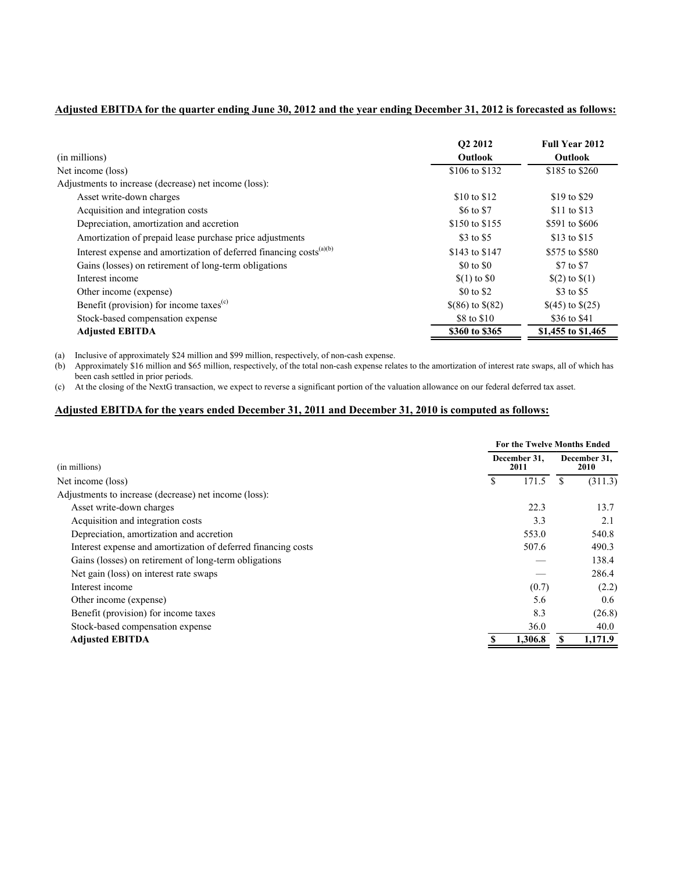# **Adjusted EBITDA for the quarter ending June 30, 2012 and the year ending December 31, 2012 is forecasted as follows:**

| (in millions)                                                                   | O <sub>2</sub> 2012<br>Outlook | <b>Full Year 2012</b><br><b>Outlook</b> |
|---------------------------------------------------------------------------------|--------------------------------|-----------------------------------------|
| Net income (loss)                                                               | \$106 to \$132                 | \$185 to \$260                          |
| Adjustments to increase (decrease) net income (loss):                           |                                |                                         |
| Asset write-down charges                                                        | \$10 to \$12                   | \$19 to \$29                            |
| Acquisition and integration costs                                               | \$6 to \$7                     | \$11 to \$13                            |
| Depreciation, amortization and accretion                                        | \$150 to \$155                 | \$591 to \$606                          |
| Amortization of prepaid lease purchase price adjustments                        | \$3 to \$5                     | \$13 to \$15                            |
| Interest expense and amortization of deferred financing costs <sup>(a)(b)</sup> | \$143 to \$147                 | \$575 to \$580                          |
| Gains (losses) on retirement of long-term obligations                           | \$0 to \$0                     | \$7 to \$7                              |
| Interest income                                                                 | $$(1)$ to $$0$                 | $(2)$ to $(1)$                          |
| Other income (expense)                                                          | \$0 to \$2                     | \$3 to \$5                              |
| Benefit (provision) for income taxes <sup>(c)</sup>                             | $$(86)$ to $$(82)$             | $$(45)$ to $$(25)$                      |
| Stock-based compensation expense                                                | \$8 to \$10                    | \$36 to \$41                            |
| <b>Adjusted EBITDA</b>                                                          | \$360 to \$365                 | \$1,455 to \$1,465                      |

(a) Inclusive of approximately \$24 million and \$99 million, respectively, of non-cash expense.

(b) Approximately \$16 million and \$65 million, respectively, of the total non-cash expense relates to the amortization of interest rate swaps, all of which has been cash settled in prior periods.

(c) At the closing of the NextG transaction, we expect to reverse a significant portion of the valuation allowance on our federal deferred tax asset.

### **Adjusted EBITDA for the years ended December 31, 2011 and December 31, 2010 is computed as follows:**

|                                                               |              | For the Twelve Months Ended |                      |         |  |
|---------------------------------------------------------------|--------------|-----------------------------|----------------------|---------|--|
| (in millions)                                                 | December 31. |                             | December 31,<br>2010 |         |  |
| Net income (loss)                                             | S            | 171.5                       |                      | (311.3) |  |
| Adjustments to increase (decrease) net income (loss):         |              |                             |                      |         |  |
| Asset write-down charges                                      |              | 22.3                        |                      | 13.7    |  |
| Acquisition and integration costs                             |              | 3.3                         |                      | 2.1     |  |
| Depreciation, amortization and accretion                      |              | 553.0                       |                      | 540.8   |  |
| Interest expense and amortization of deferred financing costs |              | 507.6                       |                      | 490.3   |  |
| Gains (losses) on retirement of long-term obligations         |              |                             |                      | 138.4   |  |
| Net gain (loss) on interest rate swaps                        |              |                             |                      | 286.4   |  |
| Interest income                                               |              | (0.7)                       |                      | (2.2)   |  |
| Other income (expense)                                        |              | 5.6                         |                      | 0.6     |  |
| Benefit (provision) for income taxes                          |              | 8.3                         |                      | (26.8)  |  |
| Stock-based compensation expense                              |              | 36.0                        |                      | 40.0    |  |
| <b>Adjusted EBITDA</b>                                        |              | 1,306.8                     |                      | 1,171.9 |  |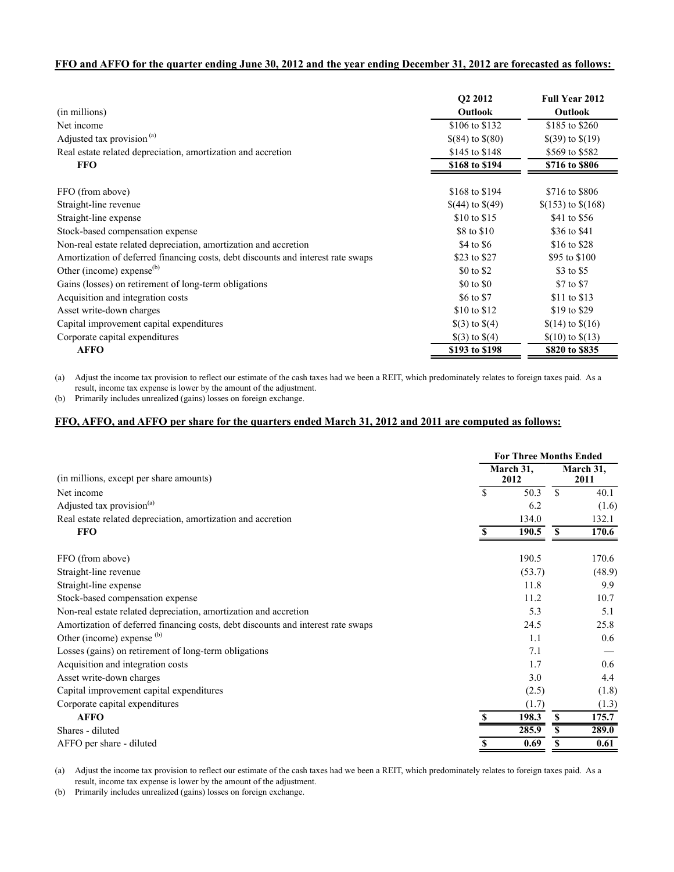### **FFO and AFFO for the quarter ending June 30, 2012 and the year ending December 31, 2012 are forecasted as follows:**

|                                                                                  | O <sub>2</sub> 2012 | <b>Full Year 2012</b> |
|----------------------------------------------------------------------------------|---------------------|-----------------------|
| (in millions)                                                                    | <b>Outlook</b>      | <b>Outlook</b>        |
| Net income                                                                       | \$106 to \$132      | \$185 to \$260        |
| Adjusted tax provision <sup>(a)</sup>                                            | $$(84)$ to $$(80)$  | $$(39)$ to $$(19)$    |
| Real estate related depreciation, amortization and accretion                     | \$145 to \$148      | \$569 to \$582        |
| <b>FFO</b>                                                                       | \$168 to \$194      | \$716 to \$806        |
| FFO (from above)                                                                 | \$168 to \$194      | \$716 to \$806        |
| Straight-line revenue                                                            | $$(44)$ to $$(49)$  | $$(153)$ to $$(168)$  |
| Straight-line expense                                                            | \$10 to \$15        | \$41 to \$56          |
| Stock-based compensation expense                                                 | \$8 to \$10         | \$36 to \$41          |
| Non-real estate related depreciation, amortization and accretion                 | \$4 to \$6          | \$16 to \$28          |
| Amortization of deferred financing costs, debt discounts and interest rate swaps | \$23 to \$27        | \$95 to \$100         |
| Other (income) expense $^{(b)}$                                                  | \$0 to \$2          | \$3 to \$5            |
| Gains (losses) on retirement of long-term obligations                            | \$0 to \$0          | \$7 to \$7            |
| Acquisition and integration costs                                                | \$6 to \$7          | \$11 to \$13          |
| Asset write-down charges                                                         | \$10 to \$12        | \$19 to \$29          |
| Capital improvement capital expenditures                                         | $\$(3)$ to $\$(4)$  | $$(14)$ to $$(16)$    |
| Corporate capital expenditures                                                   | $\$(3)$ to $\$(4)$  | $$(10)$ to $$(13)$    |
| <b>AFFO</b>                                                                      | \$193 to \$198      | \$820 to \$835        |

(a) Adjust the income tax provision to reflect our estimate of the cash taxes had we been a REIT, which predominately relates to foreign taxes paid. As a result, income tax expense is lower by the amount of the adjustment.

(b) Primarily includes unrealized (gains) losses on foreign exchange.

### **FFO, AFFO, and AFFO per share for the quarters ended March 31, 2012 and 2011 are computed as follows:**

|                                                                                  | <b>For Three Months Ended</b> |                   |          |                   |  |
|----------------------------------------------------------------------------------|-------------------------------|-------------------|----------|-------------------|--|
| (in millions, except per share amounts)                                          |                               | March 31,<br>2012 |          | March 31,<br>2011 |  |
| Net income                                                                       | \$                            | 50.3              | \$       | 40.1              |  |
| Adjusted tax provision <sup>(a)</sup>                                            |                               | 6.2               |          | (1.6)             |  |
| Real estate related depreciation, amortization and accretion                     |                               | 134.0             |          | 132.1             |  |
| <b>FFO</b>                                                                       | S                             | 190.5             | S        | 170.6             |  |
| FFO (from above)                                                                 |                               | 190.5             |          | 170.6             |  |
| Straight-line revenue                                                            |                               | (53.7)            |          | (48.9)            |  |
| Straight-line expense                                                            |                               | 11.8              |          | 9.9               |  |
| Stock-based compensation expense                                                 |                               | 11.2              |          | 10.7              |  |
| Non-real estate related depreciation, amortization and accretion                 |                               | 5.3               |          | 5.1               |  |
| Amortization of deferred financing costs, debt discounts and interest rate swaps |                               | 24.5              |          | 25.8              |  |
| Other (income) expense (b)                                                       |                               | 1.1               |          | 0.6               |  |
| Losses (gains) on retirement of long-term obligations                            |                               | 7.1               |          |                   |  |
| Acquisition and integration costs                                                |                               | 1.7               |          | 0.6               |  |
| Asset write-down charges                                                         |                               | 3.0               |          | 4.4               |  |
| Capital improvement capital expenditures                                         |                               | (2.5)             |          | (1.8)             |  |
| Corporate capital expenditures                                                   |                               | (1.7)             |          | (1.3)             |  |
| <b>AFFO</b>                                                                      |                               | 198.3             | <b>S</b> | 175.7             |  |
| Shares - diluted                                                                 |                               | 285.9             | \$       | 289.0             |  |
| AFFO per share - diluted                                                         |                               | 0.69              |          | 0.61              |  |

(a) Adjust the income tax provision to reflect our estimate of the cash taxes had we been a REIT, which predominately relates to foreign taxes paid. As a result, income tax expense is lower by the amount of the adjustment.

(b) Primarily includes unrealized (gains) losses on foreign exchange.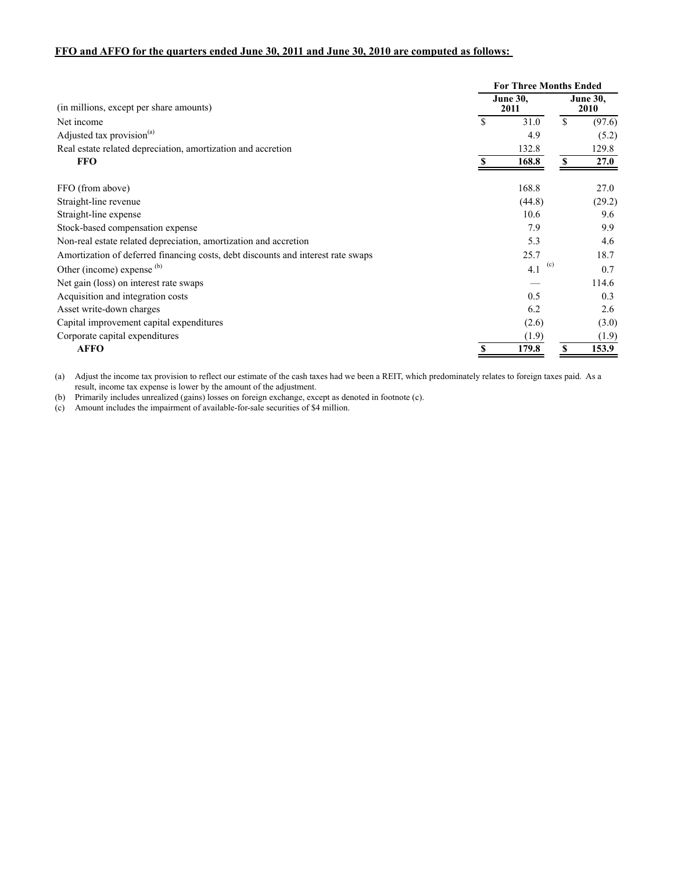# **FFO and AFFO for the quarters ended June 30, 2011 and June 30, 2010 are computed as follows:**

|                                                                                  |    |                         |              | <b>For Three Months Ended</b> |  |  |
|----------------------------------------------------------------------------------|----|-------------------------|--------------|-------------------------------|--|--|
| (in millions, except per share amounts)                                          |    | <b>June 30.</b><br>2011 |              | <b>June 30,</b><br>2010       |  |  |
| Net income                                                                       | \$ | 31.0                    | $\mathbb{S}$ | (97.6)                        |  |  |
| Adjusted tax provision <sup>(a)</sup>                                            |    | 4.9                     |              | (5.2)                         |  |  |
| Real estate related depreciation, amortization and accretion                     |    | 132.8                   |              | 129.8                         |  |  |
| <b>FFO</b>                                                                       |    | 168.8                   |              | <b>27.0</b>                   |  |  |
| FFO (from above)                                                                 |    | 168.8                   |              | 27.0                          |  |  |
| Straight-line revenue                                                            |    | (44.8)                  |              | (29.2)                        |  |  |
| Straight-line expense                                                            |    | 10.6                    |              | 9.6                           |  |  |
| Stock-based compensation expense                                                 |    | 7.9                     |              | 9.9                           |  |  |
| Non-real estate related depreciation, amortization and accretion                 |    | 5.3                     |              | 4.6                           |  |  |
| Amortization of deferred financing costs, debt discounts and interest rate swaps |    | 25.7                    |              | 18.7                          |  |  |
| Other (income) expense $(b)$                                                     |    | (c)<br>4.1              |              | 0.7                           |  |  |
| Net gain (loss) on interest rate swaps                                           |    |                         |              | 114.6                         |  |  |
| Acquisition and integration costs                                                |    | 0.5                     |              | 0.3                           |  |  |
| Asset write-down charges                                                         |    | 6.2                     |              | 2.6                           |  |  |
| Capital improvement capital expenditures                                         |    | (2.6)                   |              | (3.0)                         |  |  |
| Corporate capital expenditures                                                   |    | (1.9)                   |              | (1.9)                         |  |  |
| <b>AFFO</b>                                                                      |    | 179.8                   | S            | 153.9                         |  |  |

(a) Adjust the income tax provision to reflect our estimate of the cash taxes had we been a REIT, which predominately relates to foreign taxes paid. As a result, income tax expense is lower by the amount of the adjustment.

(b) Primarily includes unrealized (gains) losses on foreign exchange, except as denoted in footnote (c).

(c) Amount includes the impairment of available-for-sale securities of \$4 million.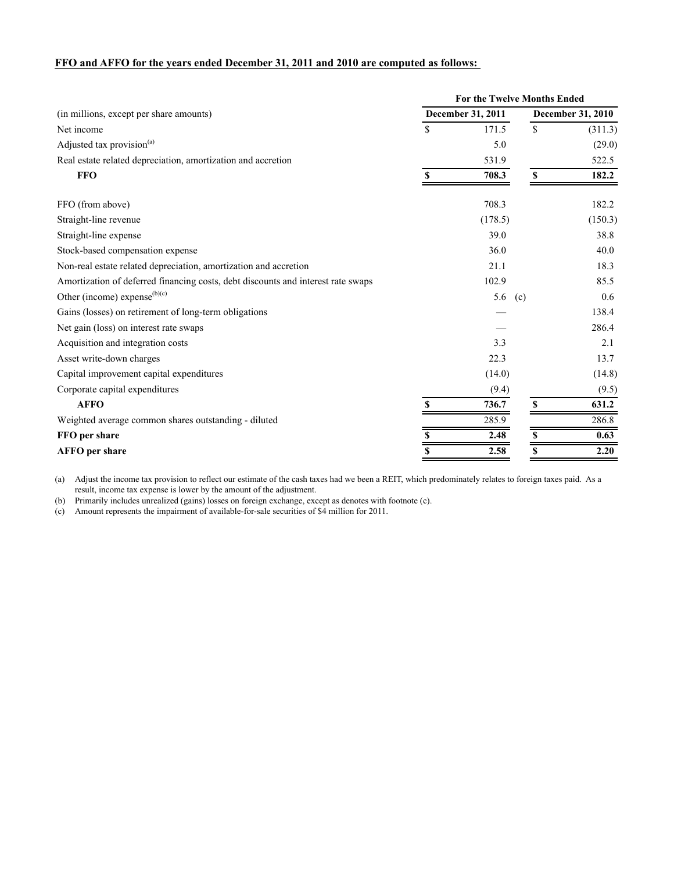### **FFO and AFFO for the years ended December 31, 2011 and 2010 are computed as follows:**

|                                                                                  | For the Twelve Months Ended |                   |                          |         |  |
|----------------------------------------------------------------------------------|-----------------------------|-------------------|--------------------------|---------|--|
| (in millions, except per share amounts)                                          |                             | December 31, 2011 | <b>December 31, 2010</b> |         |  |
| Net income                                                                       | \$                          | 171.5             | $\mathbb{S}$             | (311.3) |  |
| Adjusted tax provision <sup>(a)</sup>                                            |                             | 5.0               |                          | (29.0)  |  |
| Real estate related depreciation, amortization and accretion                     |                             | 531.9             |                          | 522.5   |  |
| <b>FFO</b>                                                                       | S                           | 708.3             | S                        | 182.2   |  |
| FFO (from above)                                                                 |                             | 708.3             |                          | 182.2   |  |
| Straight-line revenue                                                            |                             | (178.5)           |                          | (150.3) |  |
| Straight-line expense                                                            |                             | 39.0              |                          | 38.8    |  |
| Stock-based compensation expense                                                 |                             | 36.0              |                          | 40.0    |  |
| Non-real estate related depreciation, amortization and accretion                 |                             | 21.1              |                          | 18.3    |  |
| Amortization of deferred financing costs, debt discounts and interest rate swaps |                             | 102.9             |                          | 85.5    |  |
| Other (income) expense <sup>(b)(c)</sup>                                         |                             | 5.6               | (c)                      | 0.6     |  |
| Gains (losses) on retirement of long-term obligations                            |                             |                   |                          | 138.4   |  |
| Net gain (loss) on interest rate swaps                                           |                             |                   |                          | 286.4   |  |
| Acquisition and integration costs                                                |                             | 3.3               |                          | 2.1     |  |
| Asset write-down charges                                                         |                             | 22.3              |                          | 13.7    |  |
| Capital improvement capital expenditures                                         |                             | (14.0)            |                          | (14.8)  |  |
| Corporate capital expenditures                                                   |                             | (9.4)             |                          | (9.5)   |  |
| <b>AFFO</b>                                                                      |                             | 736.7             | \$                       | 631.2   |  |
| Weighted average common shares outstanding - diluted                             |                             | 285.9             |                          | 286.8   |  |
| FFO per share                                                                    | \$                          | 2.48              | \$                       | 0.63    |  |
| <b>AFFO</b> per share                                                            | $\overline{\$}$             | 2.58              | \$                       | 2.20    |  |

(a) Adjust the income tax provision to reflect our estimate of the cash taxes had we been a REIT, which predominately relates to foreign taxes paid. As a result, income tax expense is lower by the amount of the adjustment.

(b) Primarily includes unrealized (gains) losses on foreign exchange, except as denotes with footnote (c).

(c) Amount represents the impairment of available-for-sale securities of \$4 million for 2011.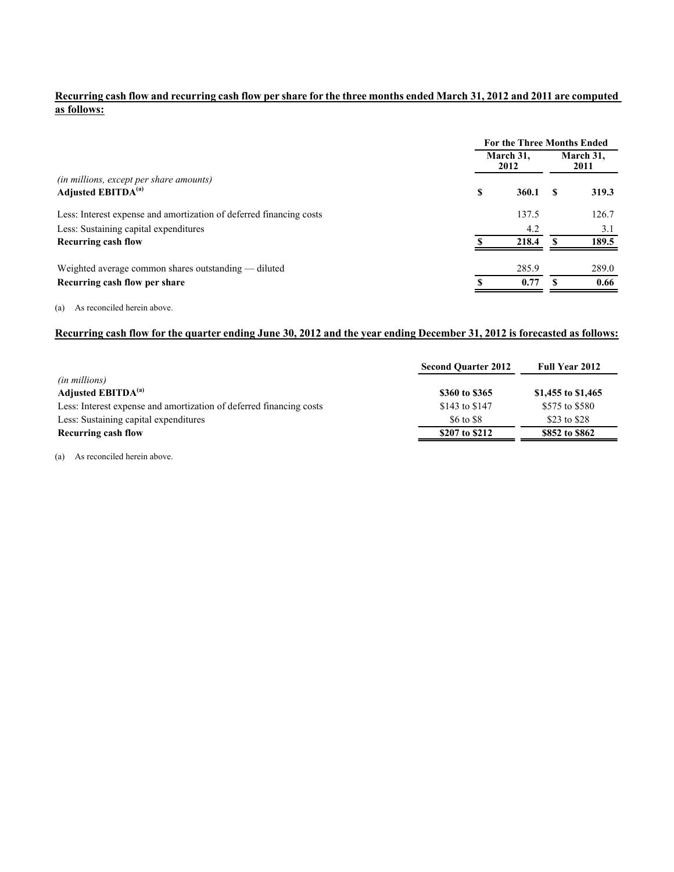# **Recurring cash flow and recurring cash flow per share for the three months ended March 31, 2012 and 2011 are computed as follows:**

|                                                                     | <b>For the Three Months Ended</b> |                   |   |                   |
|---------------------------------------------------------------------|-----------------------------------|-------------------|---|-------------------|
|                                                                     |                                   | March 31.<br>2012 |   | March 31.<br>2011 |
| (in millions, except per share amounts)                             |                                   |                   |   |                   |
| Adjusted EBITDA <sup>(a)</sup>                                      | \$                                | 360.1             | S | 319.3             |
| Less: Interest expense and amortization of deferred financing costs |                                   | 137.5             |   | 126.7             |
| Less: Sustaining capital expenditures                               |                                   | 4.2               |   | 3.1               |
| <b>Recurring cash flow</b>                                          |                                   | 218.4             |   | 189.5             |
| Weighted average common shares outstanding — diluted                |                                   | 285.9             |   | 289.0             |
| Recurring cash flow per share                                       |                                   | 0.77              |   | 0.66              |

#### (a) As reconciled herein above.

### **Recurring cash flow for the quarter ending June 30, 2012 and the year ending December 31, 2012 is forecasted as follows:**

|                                                                     | <b>Second Ouarter 2012</b> | <b>Full Year 2012</b> |
|---------------------------------------------------------------------|----------------------------|-----------------------|
| <i>(in millions)</i>                                                |                            |                       |
| Adjusted EBITDA <sup>(a)</sup>                                      | \$360 to \$365             | \$1,455 to \$1,465    |
| Less: Interest expense and amortization of deferred financing costs | \$143 to \$147             | \$575 to \$580        |
| Less: Sustaining capital expenditures                               | \$6 to \$8                 | \$23 to \$28          |
| Recurring cash flow                                                 | \$207 to \$212             | \$852 to \$862        |

(a) As reconciled herein above.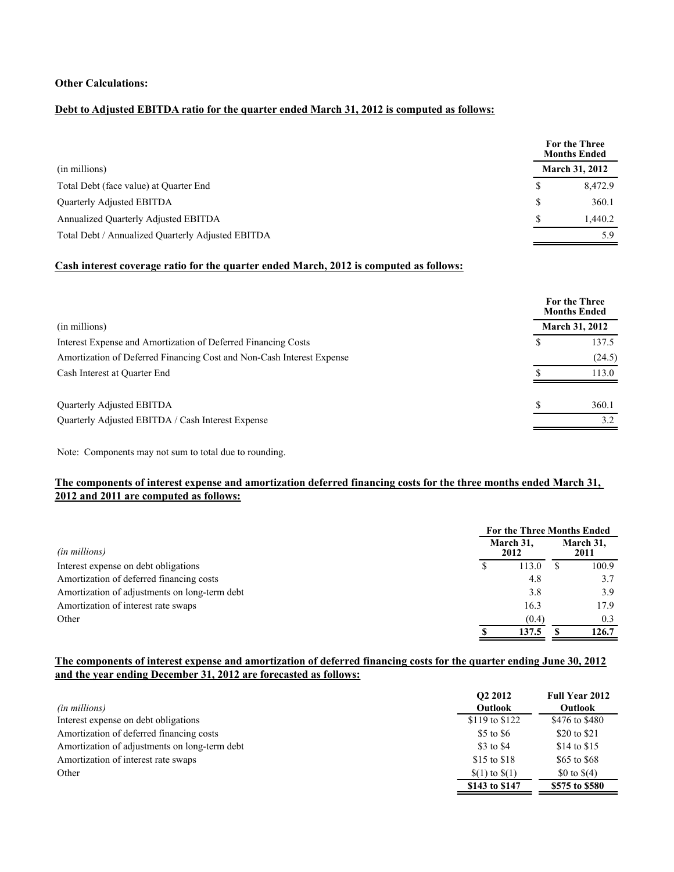### **Other Calculations:**

## **Debt to Adjusted EBITDA ratio for the quarter ended March 31, 2012 is computed as follows:**

|                                                   | For the Three<br><b>Months Ended</b> |         |
|---------------------------------------------------|--------------------------------------|---------|
| (in millions)                                     | <b>March 31, 2012</b>                |         |
| Total Debt (face value) at Quarter End            | S                                    | 8.472.9 |
| Quarterly Adjusted EBITDA                         | S                                    | 360.1   |
| Annualized Quarterly Adjusted EBITDA              |                                      | 1.440.2 |
| Total Debt / Annualized Quarterly Adjusted EBITDA |                                      | 5.9     |

### **Cash interest coverage ratio for the quarter ended March, 2012 is computed as follows:**

|                                                                       | For the Three<br><b>Months Ended</b> |                       |  |
|-----------------------------------------------------------------------|--------------------------------------|-----------------------|--|
| (in millions)                                                         |                                      | <b>March 31, 2012</b> |  |
| Interest Expense and Amortization of Deferred Financing Costs         | S                                    | 137.5                 |  |
| Amortization of Deferred Financing Cost and Non-Cash Interest Expense |                                      | (24.5)                |  |
| Cash Interest at Quarter End                                          |                                      | 113.0                 |  |
| <b>Ouarterly Adjusted EBITDA</b>                                      |                                      | 360.1                 |  |
| Quarterly Adjusted EBITDA / Cash Interest Expense                     |                                      | 3.2                   |  |

Note: Components may not sum to total due to rounding.

### **The components of interest expense and amortization deferred financing costs for the three months ended March 31, 2012 and 2011 are computed as follows:**

|                                               | <b>For the Three Months Ended</b> |                   |  |                   |  |
|-----------------------------------------------|-----------------------------------|-------------------|--|-------------------|--|
| (in millions)                                 |                                   | March 31,<br>2012 |  | March 31,<br>2011 |  |
| Interest expense on debt obligations          |                                   | 113.0             |  | 100.9             |  |
| Amortization of deferred financing costs      |                                   | 4.8               |  | 3.7               |  |
| Amortization of adjustments on long-term debt |                                   | 3.8               |  | 3.9               |  |
| Amortization of interest rate swaps           |                                   | 16.3              |  | 17.9              |  |
| Other                                         |                                   | (0.4)             |  | 0.3               |  |
|                                               |                                   | 137.5             |  | 126.7             |  |

# **The components of interest expense and amortization of deferred financing costs for the quarter ending June 30, 2012 and the year ending December 31, 2012 are forecasted as follows:**

| (in millions)                                 | O <sub>2</sub> 2012<br><b>Outlook</b> | <b>Full Year 2012</b><br><b>Outlook</b> |
|-----------------------------------------------|---------------------------------------|-----------------------------------------|
| Interest expense on debt obligations          | \$119 to \$122                        | \$476 to \$480                          |
| Amortization of deferred financing costs      | \$5 to \$6                            | \$20 to \$21                            |
| Amortization of adjustments on long-term debt | \$3 to \$4                            | \$14 to \$15                            |
| Amortization of interest rate swaps           | \$15 to \$18                          | \$65 to \$68                            |
| Other                                         | $(1)$ to $(1)$                        | \$0 to $$(4)$                           |
|                                               | \$143 to \$147                        | \$575 to \$580                          |